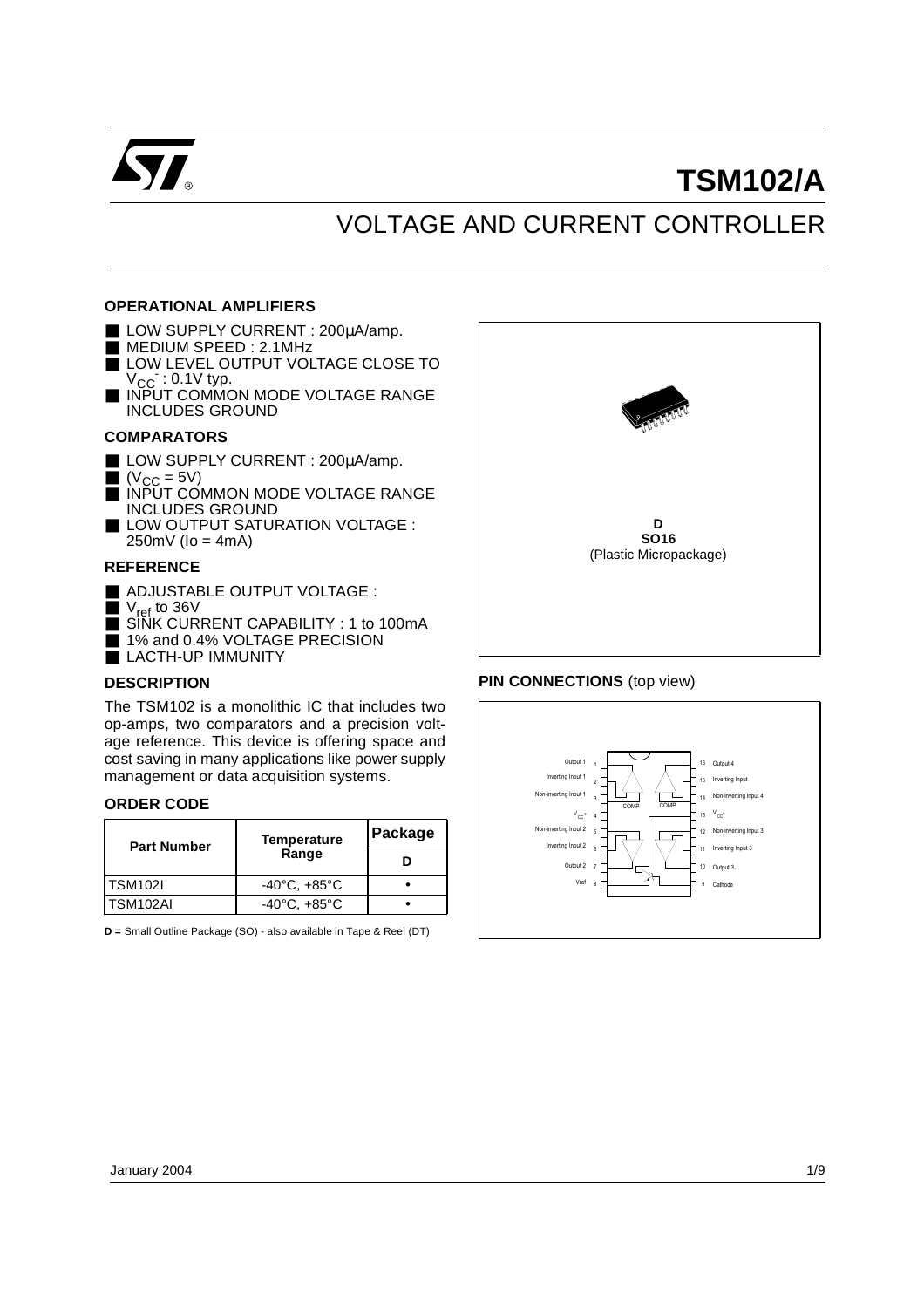

# **TSM102/A**

## VOLTAGE AND CURRENT CONTROLLER

### **OPERATIONAL AMPLIFIERS**

- LOW SUPPLY CURRENT : 200µA/amp.
- MEDIUM SPEED: 2.1MHz
- LOW LEVEL OUTPUT VOLTAGE CLOSE TO  $V_{\text{CC}}$  : 0.1V typ.
- INPUT COMMON MODE VOLTAGE RANGE INCLUDES GROUND

### **COMPARATORS**

- LOW SUPPLY CURRENT : 200µA/amp.
- $\bullet$  (V<sub>CC</sub> = 5V)
- INPUT COMMON MODE VOLTAGE RANGE INCLUDES GROUND
- LOW OUTPUT SATURATION VOLTAGE :  $250mV$  (lo = 4mA)

### **REFERENCE**

- ADJUSTABLE OUTPUT VOLTAGE :
- $\blacksquare$  V<sub>ref</sub> to 36V
- SINK CURRENT CAPABILITY : 1 to 100mA
- 1% and 0.4% VOLTAGE PRECISION
- LACTH-UP IMMUNITY

### **DESCRIPTION**

The TSM102 is a monolithic IC that includes two op-amps, two comparators and a precision voltage reference. This device is offering space and cost saving in many applications like power supply management or data acquisition systems.

#### **ORDER CODE**

| <b>Part Number</b> | Temperature                      | Package |
|--------------------|----------------------------------|---------|
|                    | Range                            |         |
| <b>TSM102I</b>     | $-40^{\circ}$ C, $+85^{\circ}$ C |         |
| TSM102AI           | $-40^{\circ}$ C, $+85^{\circ}$ C |         |

**D =** Small Outline Package (SO) - also available in Tape & Reel (DT)



### **PIN CONNECTIONS** (top view)

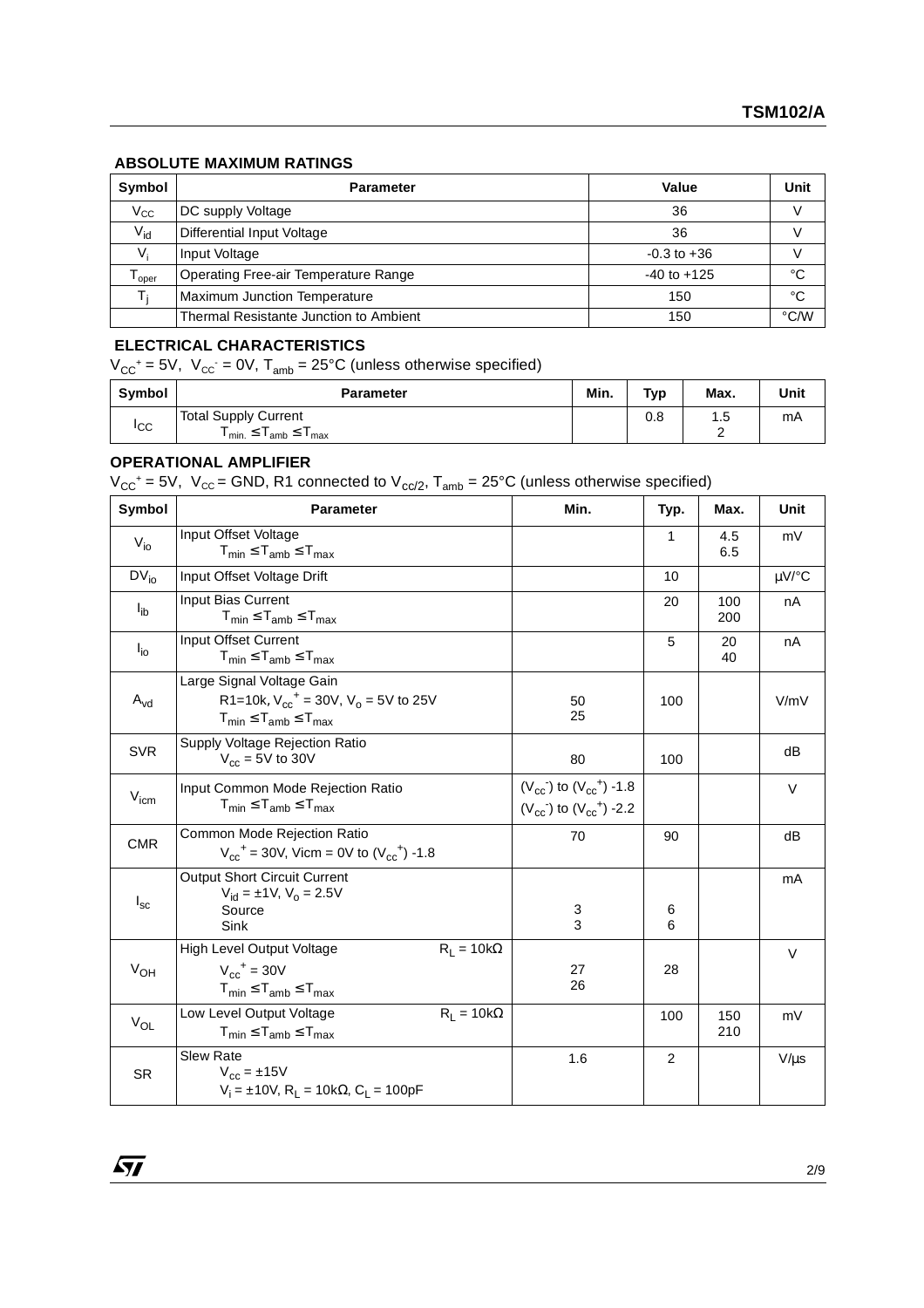### **ABSOLUTE MAXIMUM RATINGS**

| Symbol            | <b>Parameter</b>                       | Value           | Unit          |
|-------------------|----------------------------------------|-----------------|---------------|
| $V_{\rm CC}$      | DC supply Voltage                      | 36              | v             |
| $V_{\text{id}}$   | <b>Differential Input Voltage</b>      | 36              |               |
| $V_{i}$           | Input Voltage                          | $-0.3$ to $+36$ |               |
| l <sub>Oper</sub> | Operating Free-air Temperature Range   | $-40$ to $+125$ | °C            |
|                   | Maximum Junction Temperature           | 150             | °C            |
|                   | Thermal Resistante Junction to Ambient | 150             | $\degree$ C/W |

### **ELECTRICAL CHARACTERISTICS**

 $V_{CC}$ <sup>+</sup> = 5V,  $V_{CC}$  = 0V, T<sub>amb</sub> = 25°C (unless otherwise specified)

| Symbol          | <b>Parameter</b>                                                                               | Min. | Typ | Max.             | Unit |
|-----------------|------------------------------------------------------------------------------------------------|------|-----|------------------|------|
| <sub>I</sub> CC | <b>Total Supply Current</b><br>$\mathsf{I}_{\mathsf{min.}}$ $\geq$<br>'amb <sup>⇒</sup><br>max |      | 0.8 | . .<br>ں. ا<br>- | mA   |

## **OPERATIONAL AMPLIFIER**

 $V_{CC}^+$  = 5V,  $V_{CC}$  = GND, R1 connected to  $V_{CC/2}$ ,  $T_{amb}$  = 25°C (unless otherwise specified)

| Symbol           | <b>Parameter</b>                                                                                                           | Min.                                                               | Typ.           | Max.       | Unit      |
|------------------|----------------------------------------------------------------------------------------------------------------------------|--------------------------------------------------------------------|----------------|------------|-----------|
| $V_{i0}$         | Input Offset Voltage<br>$T_{min} \leq T_{amb} \leq T_{max}$                                                                |                                                                    | 1              | 4.5<br>6.5 | mV        |
| $DV_{io}$        | Input Offset Voltage Drift                                                                                                 |                                                                    | 10             |            | µV/°C     |
| $I_{ib}$         | Input Bias Current<br>$T_{min} \leq T_{amb} \leq T_{max}$                                                                  |                                                                    | 20             | 100<br>200 | nA        |
| $I_{\text{io}}$  | Input Offset Current<br>$T_{min} \leq T_{amb} \leq T_{max}$                                                                |                                                                    | 5              | 20<br>40   | nA        |
| $A_{vd}$         | Large Signal Voltage Gain<br>R1=10k, $V_{cc}$ <sup>+</sup> = 30V, $V_0$ = 5V to 25V<br>$T_{min} \leq T_{amb} \leq T_{max}$ | 50<br>25                                                           | 100            |            | V/mV      |
| <b>SVR</b>       | Supply Voltage Rejection Ratio<br>$V_{cc}$ = 5V to 30V                                                                     | 80                                                                 | 100            |            | dB        |
| $V_{\text{icm}}$ | Input Common Mode Rejection Ratio<br>$T_{min} \leq T_{amb} \leq T_{max}$                                                   | $(V_{cc})$ to $(V_{cc}^+)$ -1.8<br>$(V_{cc})$ to $(V_{cc}^+)$ -2.2 |                |            | $\vee$    |
| <b>CMR</b>       | Common Mode Rejection Ratio<br>$V_{cc}$ <sup>+</sup> = 30V, Vicm = 0V to $(V_{cc}$ <sup>+</sup> ) -1.8                     | 70                                                                 | 90             |            | dB        |
| $I_{\rm sc}$     | <b>Output Short Circuit Current</b><br>$V_{\text{id}} = \pm 1 \text{V}$ , $V_{\text{o}} = 2.5 \text{V}$<br>Source<br>Sink  | 3<br>3                                                             | 6<br>6         |            | mA        |
| $V_{OH}$         | High Level Output Voltage<br>$R_1 = 10k\Omega$<br>$V_{cc}$ <sup>+</sup> = 30V<br>$T_{min} \leq T_{amb} \leq T_{max}$       | 27<br>26                                                           | 28             |            | $\vee$    |
| $V_{OL}$         | Low Level Output Voltage<br>$R_1 = 10k\Omega$<br>$T_{min} \leq T_{amb} \leq T_{max}$                                       |                                                                    | 100            | 150<br>210 | mV        |
| <b>SR</b>        | Slew Rate<br>$V_{cc} = \pm 15V$<br>$V_i = \pm 10V$ , R <sub>L</sub> = 10k $\Omega$ , C <sub>l</sub> = 100pF                | 1.6                                                                | $\overline{c}$ |            | $V/\mu s$ |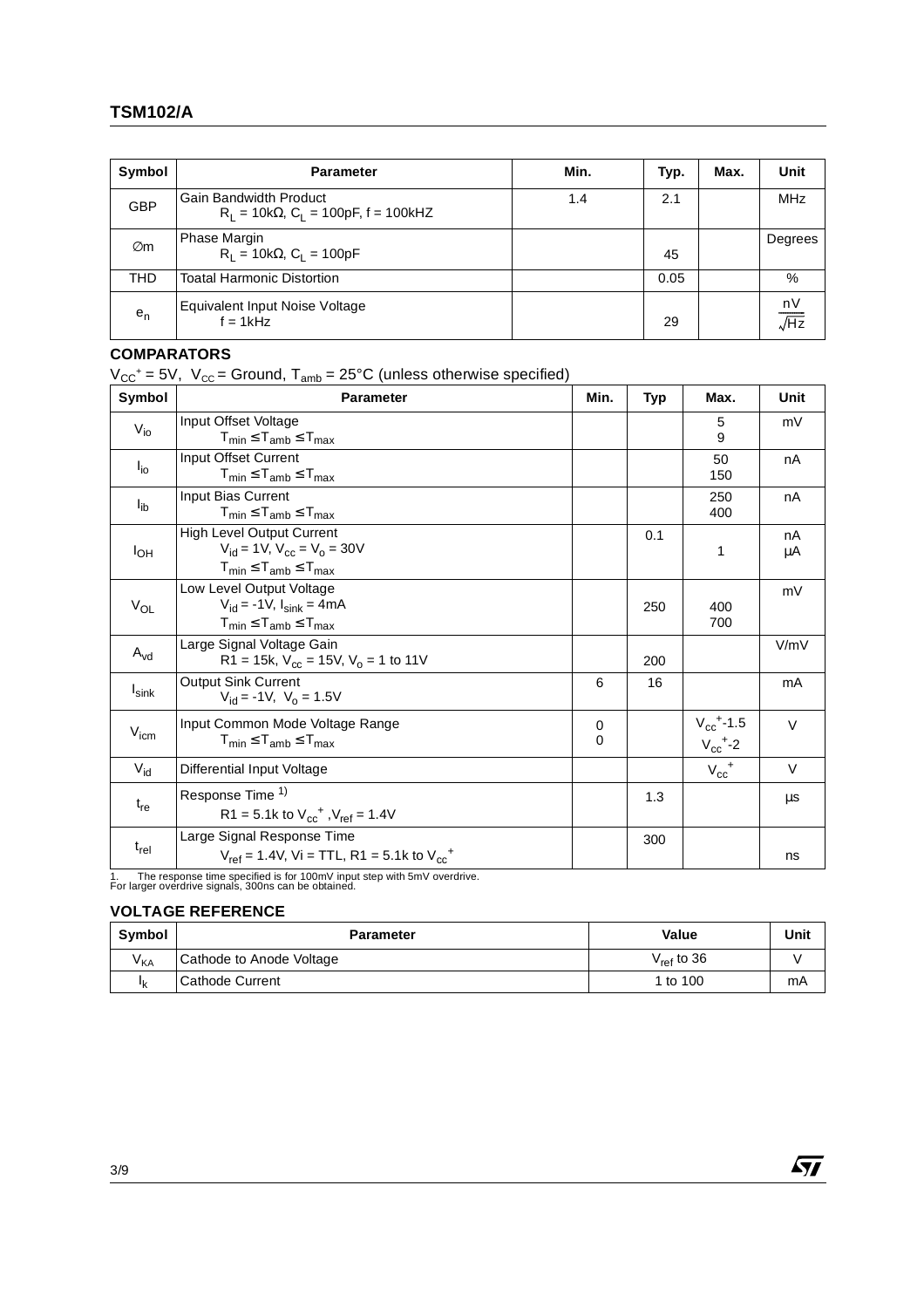| Symbol     | <b>Parameter</b>                                                         | Min. | Typ. | Max. | Unit                   |
|------------|--------------------------------------------------------------------------|------|------|------|------------------------|
| <b>GBP</b> | Gain Bandwidth Product<br>$R_1 = 10k\Omega$ , $C_1 = 100pF$ , f = 100kHZ | 1.4  | 2.1  |      | <b>MHz</b>             |
| Øm         | <b>Phase Margin</b><br>$R_1 = 10k\Omega$ , $C_1 = 100pF$                 |      | 45   |      | Degrees                |
| <b>THD</b> | <b>Toatal Harmonic Distortion</b>                                        |      | 0.05 |      | %                      |
| $e_n$      | Equivalent Input Noise Voltage<br>$f = 1kHz$                             |      | 29   |      | $\frac{nV}{\sqrt{Hz}}$ |

## **COMPARATORS**

 $V_{CC}^+$  = 5V,  $V_{CC}$  = Ground, T<sub>amb</sub> = 25°C (unless otherwise specified)

| Symbol            | <b>Parameter</b>                                                                                                               | Min.          | <b>Typ</b> | Max.                                                   | Unit     |
|-------------------|--------------------------------------------------------------------------------------------------------------------------------|---------------|------------|--------------------------------------------------------|----------|
| $V_{i0}$          | Input Offset Voltage<br>$T_{min} \leq T_{amb} \leq T_{max}$                                                                    |               |            | 5<br>9                                                 | mV       |
| $I_{io}$          | Input Offset Current<br>$T_{min} \leq T_{amb} \leq T_{max}$                                                                    |               |            | 50<br>150                                              | nA       |
| $I_{ib}$          | Input Bias Current<br>$T_{min} \leq T_{amb} \leq T_{max}$                                                                      |               |            | 250<br>400                                             | nA       |
| $I_{OH}$          | <b>High Level Output Current</b><br>$V_{\rm id}$ = 1V, $V_{\rm cc}$ = $V_{\rm o}$ = 30V<br>$T_{min} \leq T_{amb} \leq T_{max}$ |               | 0.1        | 1                                                      | nA<br>μA |
| $V_{OL}$          | Low Level Output Voltage<br>$V_{\rm id} = -1V$ , $I_{\rm sink} = 4mA$<br>$T_{min} \leq T_{amb} \leq T_{max}$                   |               | 250        | 400<br>700                                             | mV       |
| $A_{\text{vd}}$   | Large Signal Voltage Gain<br>R1 = 15k, $V_{cc}$ = 15V, $V_0$ = 1 to 11V                                                        |               | 200        |                                                        | V/mV     |
| I <sub>sink</sub> | <b>Output Sink Current</b><br>$V_{\text{id}} = -1V$ , $V_{\text{o}} = 1.5V$                                                    | 6             | 16         |                                                        | mA       |
| $V_{\text{icm}}$  | Input Common Mode Voltage Range<br>$T_{\text{min}} \leq T_{\text{amb}} \leq T_{\text{max}}$                                    | 0<br>$\Omega$ |            | $V_{cc}$ <sup>+</sup> -1.5<br>$V_{cc}$ <sup>+</sup> -2 | $\vee$   |
| $V_{\text{id}}$   | <b>Differential Input Voltage</b>                                                                                              |               |            | $V_{cc}$ <sup>+</sup>                                  | $\vee$   |
| $t_{re}$          | Response Time 1)<br>R1 = 5.1k to $V_{cc}^+$ , $V_{ref}$ = 1.4V                                                                 |               | 1.3        |                                                        | μs       |
| $t_{rel}$         | Large Signal Response Time<br>$V_{ref}$ = 1.4V, Vi = TTL, R1 = 5.1k to $V_{cc}$ <sup>+</sup>                                   |               | 300        |                                                        | ns       |

The response time specified is for 100mV input step with 5mV overdrive.<br>For larger overdrive signals, 300ns can be obtained.

### **VOLTAGE REFERENCE**

| Symbol   | <b>Parameter</b>         | Value                  | Unit |
|----------|--------------------------|------------------------|------|
| $V_{KA}$ | Cathode to Anode Voltage | V <sub>ref</sub> to 36 |      |
| Ιk       | Cathode Current          | 1 to 100               | mA   |

 $\sqrt{27}$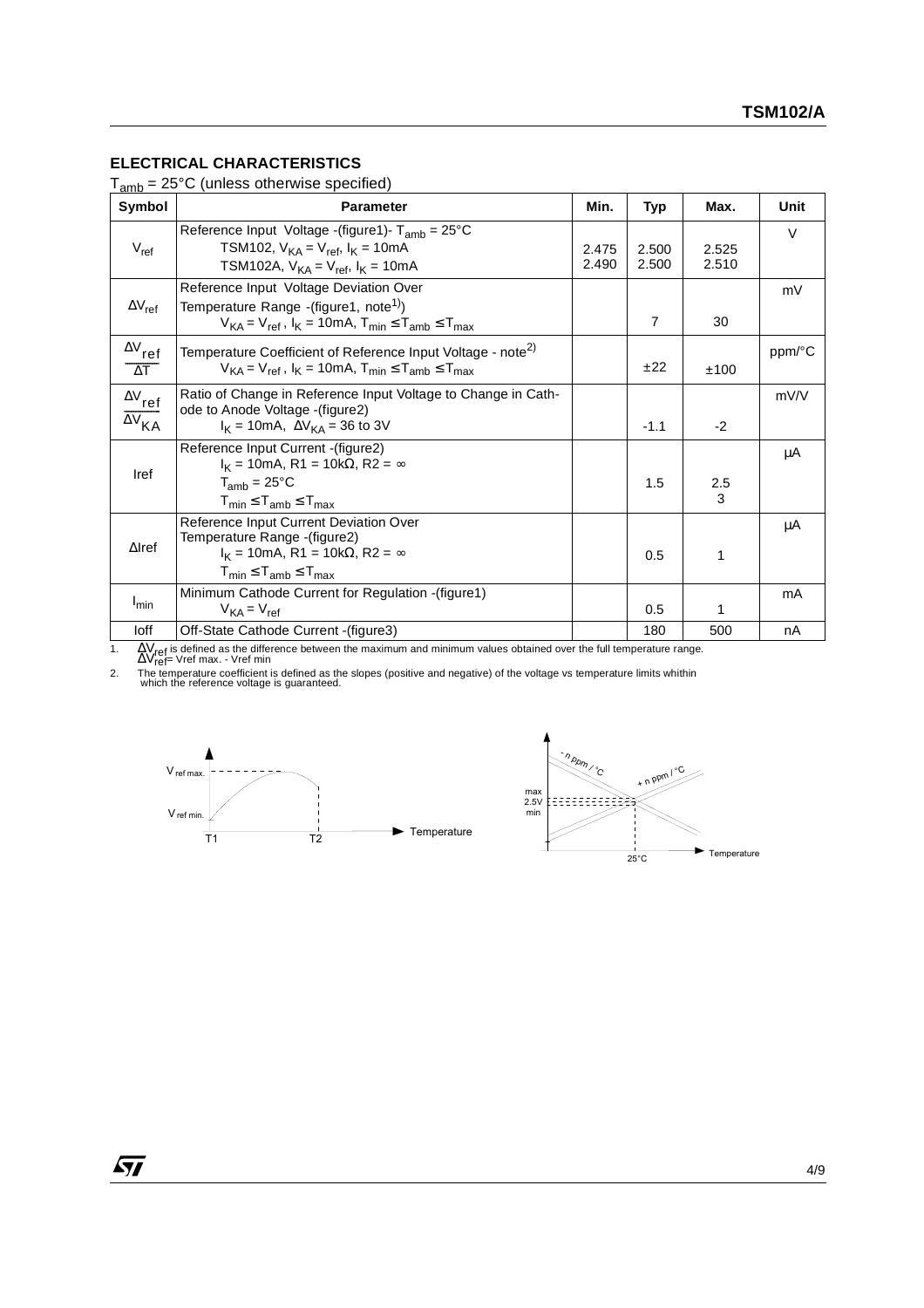## **ELECTRICAL CHARACTERISTICS**

Tamb = 25°C (unless otherwise specified)

| ann<br>Symbol                                                  | <b>Parameter</b>                                                                                                                                                              | Min.           | Typ            | Max.           | Unit   |
|----------------------------------------------------------------|-------------------------------------------------------------------------------------------------------------------------------------------------------------------------------|----------------|----------------|----------------|--------|
| $V_{ref}$                                                      | Reference Input Voltage -(figure1)- $T_{amb} = 25^{\circ}C$<br>TSM102, $V_{KA} = V_{ref}$ , $I_{K} = 10mA$<br>TSM102A, $V_{KA} = V_{ref}$ , $I_{K} = 10mA$                    | 2.475<br>2.490 | 2.500<br>2.500 | 2.525<br>2.510 | $\vee$ |
| $\Delta V_{ref}$                                               | Reference Input Voltage Deviation Over<br>Temperature Range -(figure1, note <sup>1)</sup> )<br>$V_{KA} = V_{ref}$ , $I_K = 10mA$ , $T_{min} \le T_{amb} \le T_{max}$          |                | $\overline{7}$ | 30             | mV     |
| $\Delta V_{ref}$<br>$\Delta T$                                 | Temperature Coefficient of Reference Input Voltage - note <sup>2)</sup><br>$V_{KA} = V_{ref}$ , $I_K = 10mA$ , $T_{min} \le T_{amb} \le T_{max}$                              |                | ±22            | ±100           | ppm/°C |
| $\Delta\rm{V}_{\rm{ref}}$<br>$\overline{\Delta V}_{\text{KA}}$ | Ratio of Change in Reference Input Voltage to Change in Cath-<br>ode to Anode Voltage - (figure2)<br>$I_K = 10 \text{mA}, \Delta V_{KA} = 36 \text{ to } 3V$                  |                | $-1.1$         | $-2$           | mV/V   |
| Iref                                                           | Reference Input Current - (figure2)<br>$I_K$ = 10mA, R1 = 10k $\Omega$ , R2 = $\infty$<br>$T_{amb} = 25^{\circ}C$<br>$T_{\text{min}} \leq T_{\text{amb}} \leq T_{\text{max}}$ |                | 1.5            | 2.5<br>3       | μA     |
| $\Delta$ Iref                                                  | Reference Input Current Deviation Over<br>Temperature Range -(figure2)<br>$I_K = 10 \text{mA}, R1 = 10 \text{k}\Omega, R2 = \infty$<br>$T_{min} \leq T_{amb} \leq T_{max}$    |                | 0.5            | 1              | μA     |
| I <sub>min</sub>                                               | Minimum Cathode Current for Regulation - (figure 1)<br>$V_{KA} = V_{ref}$                                                                                                     |                | 0.5            |                | mA     |
| loff                                                           | Off-State Cathode Current - (figure3)                                                                                                                                         |                | 180            | 500            | nA     |

1. ∆V<sub>ref</sub> is defined as the difference between the maximum and minimum values obtained over the full temperature range.<br>∆Vref= Vref max. - Vref min

2. The temperature coefficient is defined as the slopes (positive and negative) of the voltage vs temperature limits whithin<br>which the reference voltage is guaranteed.

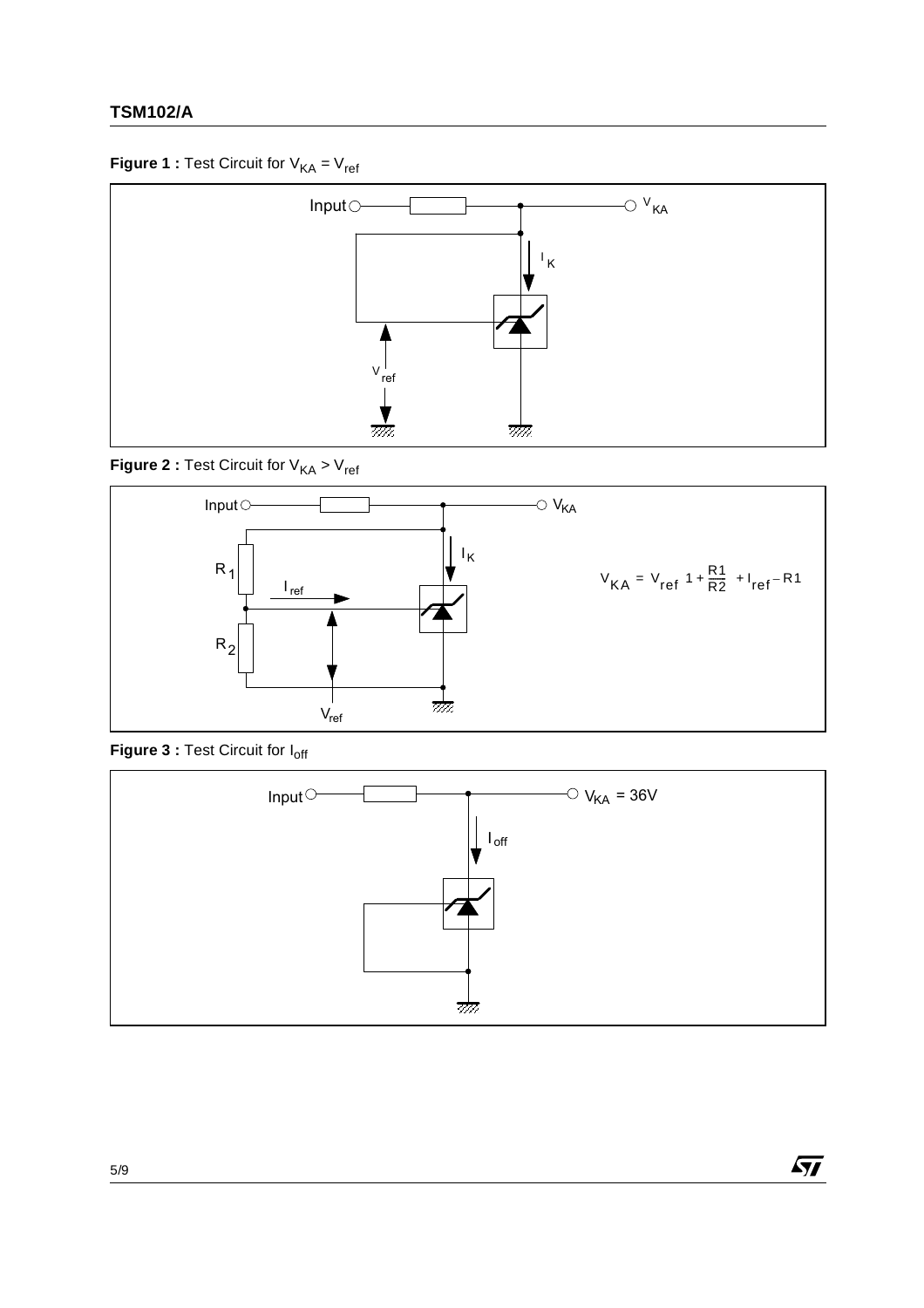## **TSM102/A**

## **Figure 1 : Test Circuit for**  $V_{KA} = V_{ref}$



**Figure 2 : Test Circuit for**  $V_{KA}$  **>**  $V_{ref}$ 



Figure 3 : Test Circuit for I<sub>off</sub>



 $\sqrt{M}$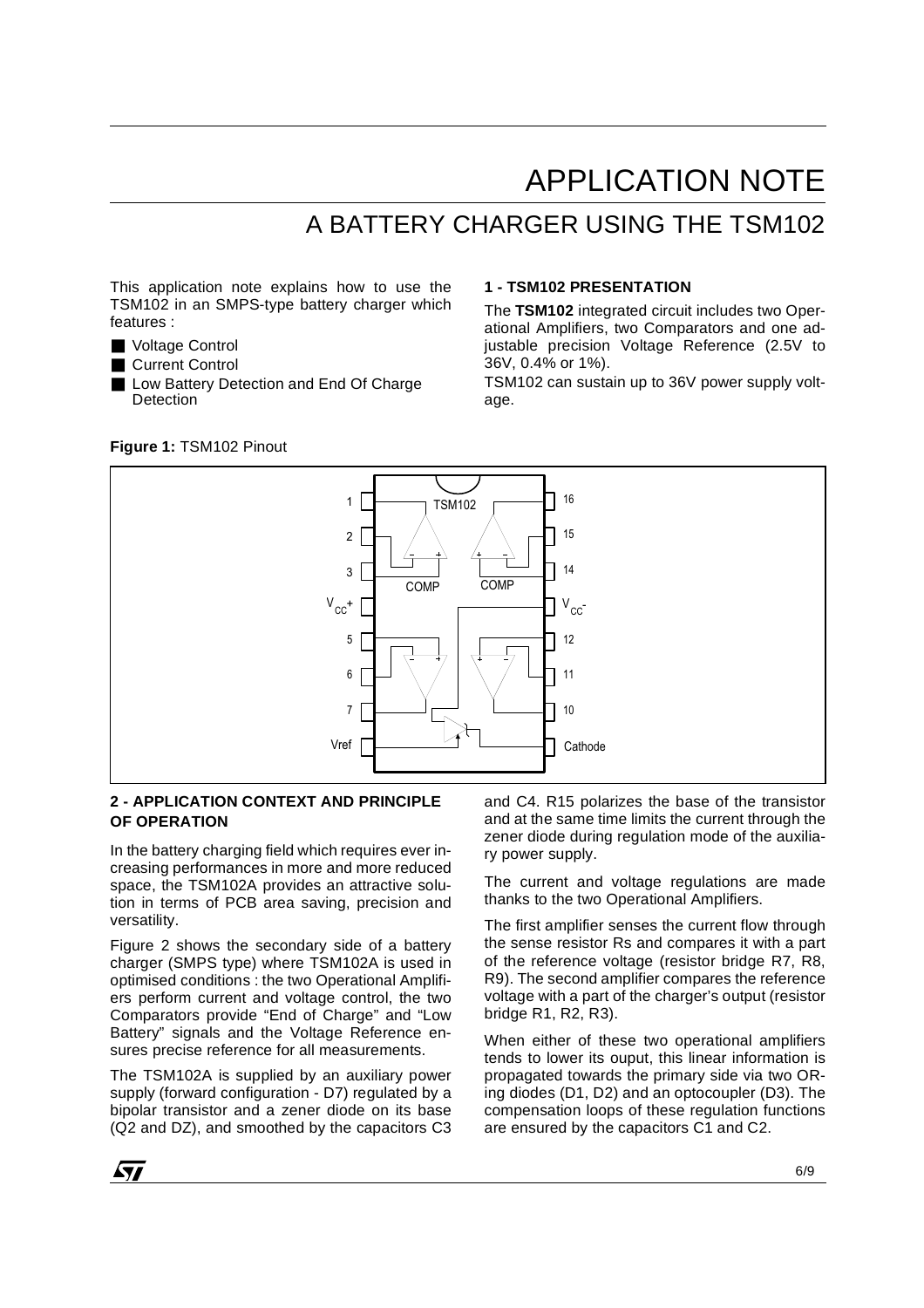# APPLICATION NOTE

## A BATTERY CHARGER USING THE TSM102

This application note explains how to use the TSM102 in an SMPS-type battery charger which features :

- Voltage Control
- Current Control
- Low Battery Detection and End Of Charge **Detection**

#### **Figure 1:** TSM102 Pinout

#### **1 - TSM102 PRESENTATION**

The **TSM102** integrated circuit includes two Operational Amplifiers, two Comparators and one adjustable precision Voltage Reference (2.5V to 36V, 0.4% or 1%).

TSM102 can sustain up to 36V power supply voltage.



### **2 - APPLICATION CONTEXT AND PRINCIPLE OF OPERATION**

In the battery charging field which requires ever increasing performances in more and more reduced space, the TSM102A provides an attractive solution in terms of PCB area saving, precision and versatility.

Figure 2 shows the secondary side of a battery charger (SMPS type) where TSM102A is used in optimised conditions : the two Operational Amplifiers perform current and voltage control, the two Comparators provide "End of Charge" and "Low Battery" signals and the Voltage Reference ensures precise reference for all measurements.

The TSM102A is supplied by an auxiliary power supply (forward configuration - D7) regulated by a bipolar transistor and a zener diode on its base (Q2 and DZ), and smoothed by the capacitors C3 and C4. R15 polarizes the base of the transistor and at the same time limits the current through the zener diode during regulation mode of the auxiliary power supply.

The current and voltage regulations are made thanks to the two Operational Amplifiers.

The first amplifier senses the current flow through the sense resistor Rs and compares it with a part of the reference voltage (resistor bridge R7, R8, R9). The second amplifier compares the reference voltage with a part of the charger's output (resistor bridge R1, R2, R3).

When either of these two operational amplifiers tends to lower its ouput, this linear information is propagated towards the primary side via two ORing diodes (D1, D2) and an optocoupler (D3). The compensation loops of these regulation functions are ensured by the capacitors C1 and C2.

*k*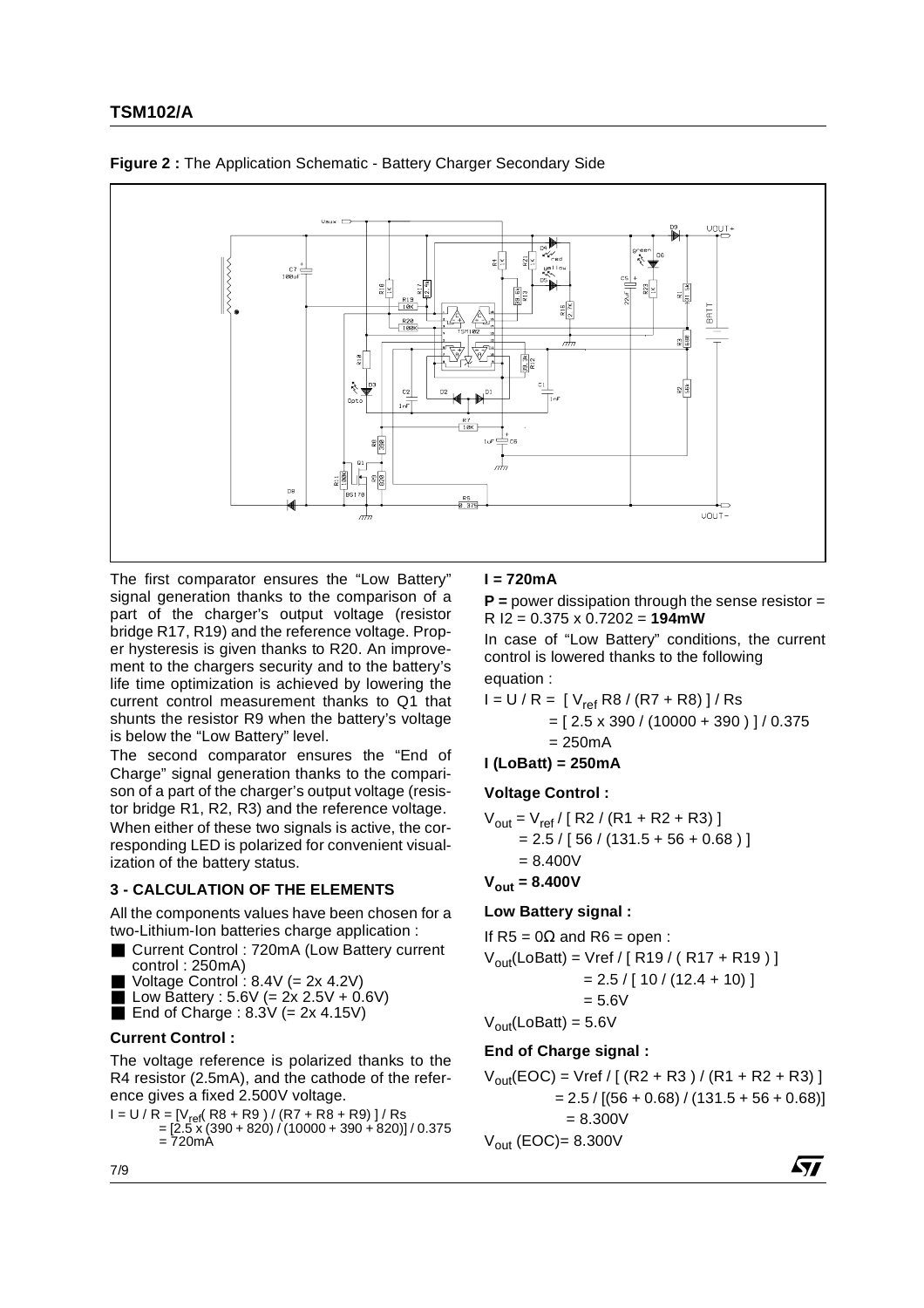



The first comparator ensures the "Low Battery" signal generation thanks to the comparison of a part of the charger's output voltage (resistor bridge R17, R19) and the reference voltage. Proper hysteresis is given thanks to R20. An improvement to the chargers security and to the battery's life time optimization is achieved by lowering the current control measurement thanks to Q1 that shunts the resistor R9 when the battery's voltage is below the "Low Battery" level.

The second comparator ensures the "End of Charge" signal generation thanks to the comparison of a part of the charger's output voltage (resistor bridge R1, R2, R3) and the reference voltage. When either of these two signals is active, the corresponding LED is polarized for convenient visualization of the battery status.

### **3 - CALCULATION OF THE ELEMENTS**

All the components values have been chosen for a two-Lithium-Ion batteries charge application :

- Current Control : 720mA (Low Battery current control : 250mA)
- Voltage Control:  $8.4V = 2x 4.2V$
- Low Battery : 5.6V (=  $2x 2.5V + 0.6V$ )
- End of Charge :  $8.3V$  (=  $2x$  4.15V)

### **Current Control :**

The voltage reference is polarized thanks to the R4 resistor (2.5mA), and the cathode of the reference gives a fixed 2.500V voltage.

 $I = U / R = [V_{ref}(R8 + R9) / (R7 + R8 + R9)] / Rs$  = [2.5 x (390 + 820) / (10000 + 390 + 820)] / 0.375 = 720mA

### **I = 720mA**

**P =** power dissipation through the sense resistor = R I2 = 0.375 x 0.7202 = **194mW**

In case of "Low Battery" conditions, the current control is lowered thanks to the following equation :

$$
I = U / R = [V_{ref} R8 / (R7 + R8)] / Rs
$$
  
= [2.5 x 390 / (10000 + 390)] / 0.375  
= 250 mA

**I (LoBatt) = 250mA**

### **Voltage Control :**

$$
V_{\text{out}} = V_{\text{ref}} / [ R2 / (R1 + R2 + R3) ]
$$
  
= 2.5 / [ 56 / (131.5 + 56 + 0.68) ]  
= 8.400 V

$$
V_{\text{out}} = 8.400 V
$$

### **Low Battery signal :**

If R5 = 0
$$
\Omega
$$
 and R6 = open :  
\n $V_{out}(LoBatt) = Vref / [R19 / (R17 + R19)]$   
\n= 2.5 / [10 / (12.4 + 10)]  
\n= 5.6V  
\n $V_{out}(LoBatt) = 5.6V$ 

### **End of Charge signal :**

$$
V_{out}(EOC) = Vref / [(R2 + R3) / (R1 + R2 + R3)]
$$
  
= 2.5 / [(56 + 0.68) / (131.5 + 56 + 0.68)]  
= 8.300V  

$$
V_{out} (EOC) = 8.300V
$$

47/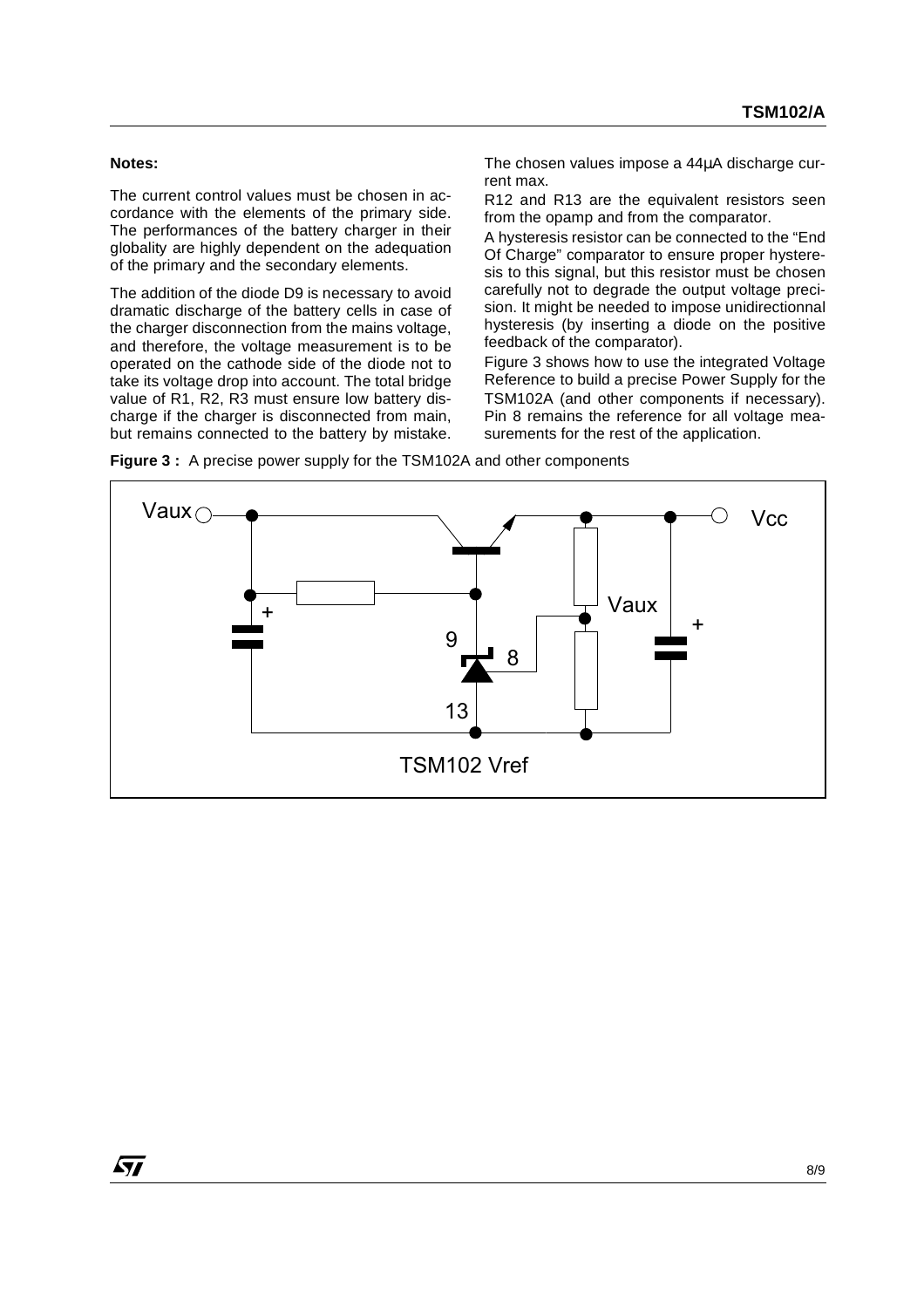### **Notes:**

The current control values must be chosen in accordance with the elements of the primary side. The performances of the battery charger in their globality are highly dependent on the adequation of the primary and the secondary elements.

The addition of the diode D9 is necessary to avoid dramatic discharge of the battery cells in case of the charger disconnection from the mains voltage, and therefore, the voltage measurement is to be operated on the cathode side of the diode not to take its voltage drop into account. The total bridge value of R1, R2, R3 must ensure low battery discharge if the charger is disconnected from main, but remains connected to the battery by mistake.

The chosen values impose a 44µA discharge current max.

R12 and R13 are the equivalent resistors seen from the opamp and from the comparator.

A hysteresis resistor can be connected to the "End Of Charge" comparator to ensure proper hysteresis to this signal, but this resistor must be chosen carefully not to degrade the output voltage precision. It might be needed to impose unidirectionnal hysteresis (by inserting a diode on the positive feedback of the comparator).

Figure 3 shows how to use the integrated Voltage Reference to build a precise Power Supply for the TSM102A (and other components if necessary). Pin 8 remains the reference for all voltage measurements for the rest of the application.



**Figure 3 :** A precise power supply for the TSM102A and other components